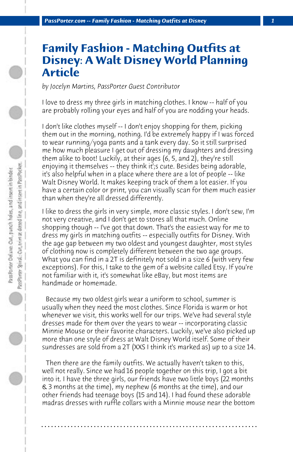## **Family Fashion - Matching Outfits at Disney: A Walt Disney World Planning Article**

*by Jocelyn Martins, PassPorter Guest Contributor*

I love to dress my three girls in matching clothes. I know -- half of you are probably rolling your eyes and half of you are nodding your heads.

I don't like clothes myself -- I don't enjoy shopping for them, picking them out in the morning, nothing. I'd be extremely happy if I was forced to wear running/yoga pants and a tank every day. So it still surprised me how much pleasure I get out of dressing my daughters and dressing them alike to boot! Luckily, at their ages (6, 5, and 2), they're still enjoying it themselves -- they think it';s cute. Besides being adorable, it's also helpful when in a place where there are a lot of people -- like Walt Disney World. It makes keeping track of them a lot easier. If you have a certain color or print, you can visually scan for them much easier than when they're all dressed differently.

I like to dress the girls in very simple, more classic styles. I don't sew, I'm not very creative, and I don't get to stores all that much. Online shopping though -- I've got that down. That's the easiest way for me to dress my girls in matching outfits -- especially outfits for Disney. With the age gap between my two oldest and youngest daughter, most styles of clothing now is completely different between the two age groups. What you can find in a 2T is definitely not sold in a size 6 (with very few exceptions). For this, I take to the gem of a website called Etsy. If you're not familiar with it, it's somewhat like eBay, but most items are handmade or homemade.

 Because my two oldest girls wear a uniform to school, summer is usually when they need the most clothes. Since Florida is warm or hot whenever we visit, this works well for our trips. We've had several style dresses made for them over the years to wear -- incorporating classic Minnie Mouse or their favorite characters. Luckily, we've also picked up more than one style of dress at Walt Disney World itself. Some of their sundresses are sold from a 2T (XXS I think it's marked as) up to a size 14.

 Then there are the family outfits. We actually haven't taken to this, well not really. Since we had 16 people together on this trip, I got a bit into it. I have the three girls, our friends have two little boys (22 months & 3 months at the time), my nephew (6 months at the time), and our other friends had teenage boys (15 and 14). I had found these adorable madras dresses with ruffle collars with a Minnie mouse near the bottom

**. . . . . . . . . . . . . . . . . . . . . . . . . . . . . . . . . . . . . . . . . . . . . . . . . . . . . . . . . . . . . . . . . .**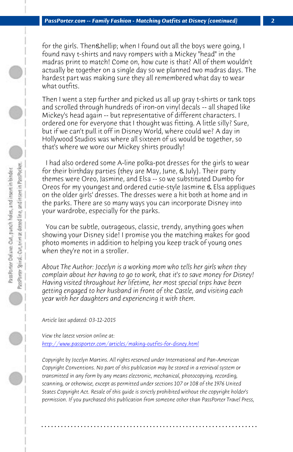*PassPorter.com -- Family Fashion - Matching Outfits at Disney (continued) 2*

for the girls. Then… when I found out all the boys were going, I found navy t-shirts and navy rompers with a Mickey "head" in the madras print to match! Come on, how cute is that? All of them wouldn't actually be together on a single day so we planned two madras days. The hardest part was making sure they all remembered what day to wear what outfits.

Then I went a step further and picked us all up gray t-shirts or tank tops and scrolled through hundreds of iron-on vinyl decals -- all shaped like Mickey's head again -- but representative of different characters. I ordered one for everyone that I thought was fitting. A little silly? Sure, but if we can't pull it off in Disney World, where could we? A day in Hollywood Studios was where all sixteen of us would be together, so that's where we wore our Mickey shirts proudly!

 I had also ordered some A-line polka-pot dresses for the girls to wear for their birthday parties (they are May, June, & July). Their party themes were Oreo, Jasmine, and Elsa -- so we substituted Dumbo for Oreos for my youngest and ordered cutie-style Jasmine & Elsa appliques on the older girls' dresses. The dresses were a hit both at home and in the parks. There are so many ways you can incorporate Disney into [your wardrobe, especially for the parks.](http://www.passporter.com/articles/making-outfits-for-disney.php)

 You can be subtle, outrageous, classic, trendy, anything goes when showing your Disney side! I promise you the matching makes for good photo moments in addition to helping you keep track of young ones when they're not in a stroller.

*About The Author: Jocelyn is a working mom who tells her girls when they complain about her having to go to work, that it's to save money for Disney! Having visited throughout her lifetime, her most special trips have been getting engaged to her husband in front of the Castle, and visiting each year with her daughters and experiencing it with them.* 

*Article last updated: 03-12-2015*

*View the latest version online at: http://www.passporter.com/articles/making-outfits-for-disney.html*

*Copyright by Jocelyn Martins. All rights reserved under International and Pan-American Copyright Conventions. No part of this publication may be stored in a retrieval system or transmitted in any form by any means electronic, mechanical, photocopying, recording, scanning, or otherwise, except as permitted under sections 107 or 108 of the 1976 United States Copyright Act. Resale of this guide is strictly prohibited without the copyright holder's permission. If you purchased this publication from someone other than PassPorter Travel Press,*

**. . . . . . . . . . . . . . . . . . . . . . . . . . . . . . . . . . . . . . . . . . . . . . . . . . . . . . . . . . . . . . . . . .**